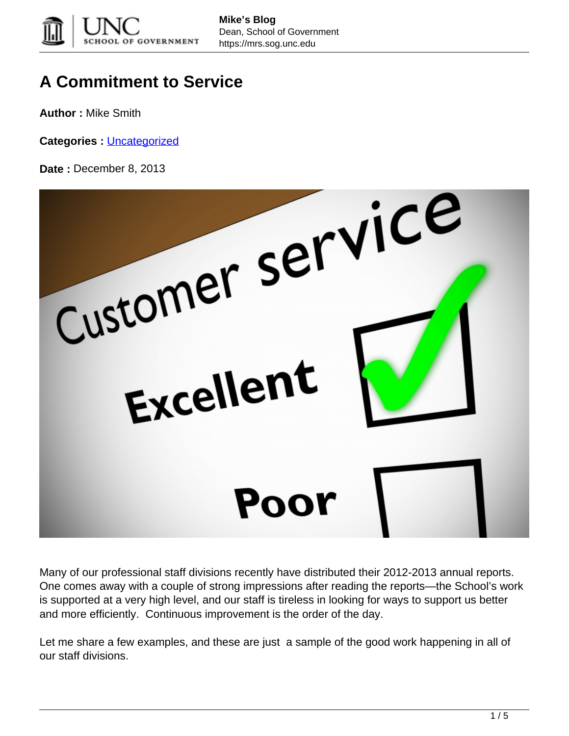

## **A Commitment to Service**

**Author :** Mike Smith

**Categories :** [Uncategorized](https://mrs.sog.unc.edu/category/uncategorized/)



Many of our professional staff divisions recently have distributed their 2012-2013 annual reports. One comes away with a couple of strong impressions after reading the reports—the School's work is supported at a very high level, and our staff is tireless in looking for ways to support us better and more efficiently. Continuous improvement is the order of the day.

Let me share a few examples, and these are just a sample of the good work happening in all of our staff divisions.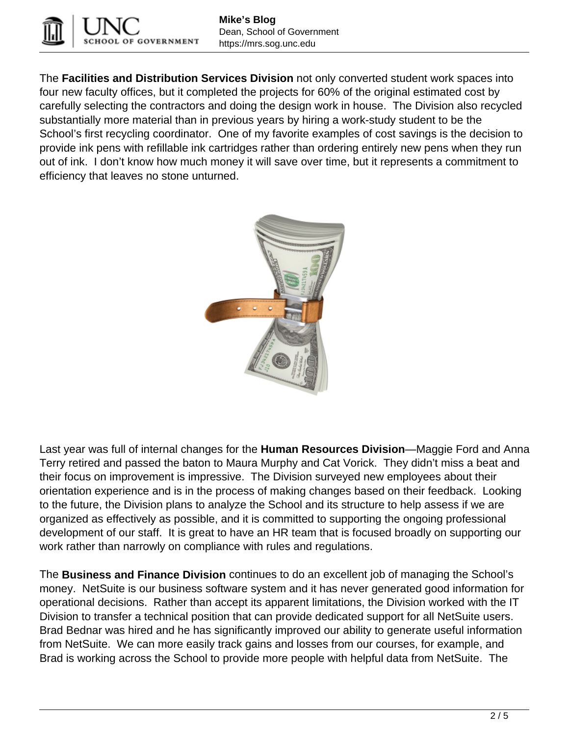

The **Facilities and Distribution Services Division** not only converted student work spaces into four new faculty offices, but it completed the projects for 60% of the original estimated cost by carefully selecting the contractors and doing the design work in house. The Division also recycled substantially more material than in previous years by hiring a work-study student to be the School's first recycling coordinator. One of my favorite examples of cost savings is the decision to provide ink pens with refillable ink cartridges rather than ordering entirely new pens when they run out of ink. I don't know how much money it will save over time, but it represents a commitment to efficiency that leaves no stone unturned.



Last year was full of internal changes for the **Human Resources Division**—Maggie Ford and Anna Terry retired and passed the baton to Maura Murphy and Cat Vorick. They didn't miss a beat and their focus on improvement is impressive. The Division surveyed new employees about their orientation experience and is in the process of making changes based on their feedback. Looking to the future, the Division plans to analyze the School and its structure to help assess if we are organized as effectively as possible, and it is committed to supporting the ongoing professional development of our staff. It is great to have an HR team that is focused broadly on supporting our work rather than narrowly on compliance with rules and regulations.

The **Business and Finance Division** continues to do an excellent job of managing the School's money. NetSuite is our business software system and it has never generated good information for operational decisions. Rather than accept its apparent limitations, the Division worked with the IT Division to transfer a technical position that can provide dedicated support for all NetSuite users. Brad Bednar was hired and he has significantly improved our ability to generate useful information from NetSuite. We can more easily track gains and losses from our courses, for example, and Brad is working across the School to provide more people with helpful data from NetSuite. The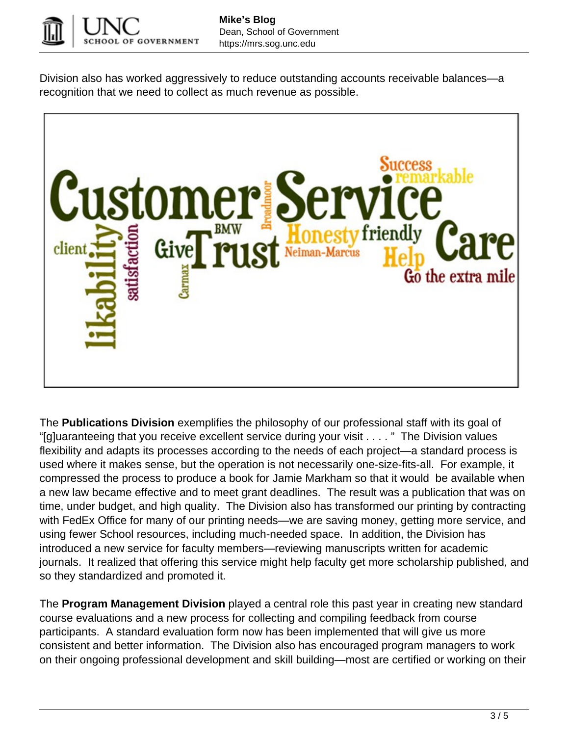

Division also has worked aggressively to reduce outstanding accounts receivable balances—a recognition that we need to collect as much revenue as possible.



The **Publications Division** exemplifies the philosophy of our professional staff with its goal of "[g]uaranteeing that you receive excellent service during your visit . . . . " The Division values flexibility and adapts its processes according to the needs of each project—a standard process is used where it makes sense, but the operation is not necessarily one-size-fits-all. For example, it compressed the process to produce a book for Jamie Markham so that it would be available when a new law became effective and to meet grant deadlines. The result was a publication that was on time, under budget, and high quality. The Division also has transformed our printing by contracting with FedEx Office for many of our printing needs—we are saving money, getting more service, and using fewer School resources, including much-needed space. In addition, the Division has introduced a new service for faculty members—reviewing manuscripts written for academic journals. It realized that offering this service might help faculty get more scholarship published, and so they standardized and promoted it.

The **Program Management Division** played a central role this past year in creating new standard course evaluations and a new process for collecting and compiling feedback from course participants. A standard evaluation form now has been implemented that will give us more consistent and better information. The Division also has encouraged program managers to work on their ongoing professional development and skill building—most are certified or working on their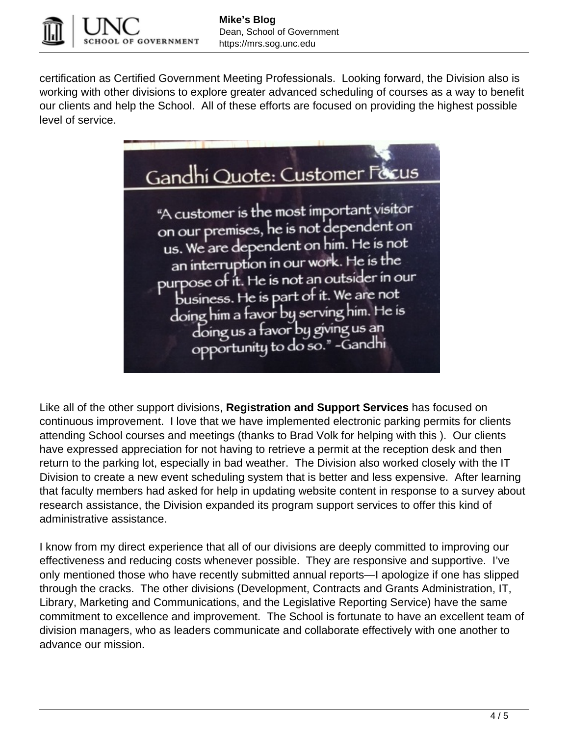

certification as Certified Government Meeting Professionals. Looking forward, the Division also is working with other divisions to explore greater advanced scheduling of courses as a way to benefit our clients and help the School. All of these efforts are focused on providing the highest possible level of service.



Like all of the other support divisions, **Registration and Support Services** has focused on continuous improvement. I love that we have implemented electronic parking permits for clients attending School courses and meetings (thanks to Brad Volk for helping with this ). Our clients have expressed appreciation for not having to retrieve a permit at the reception desk and then return to the parking lot, especially in bad weather. The Division also worked closely with the IT Division to create a new event scheduling system that is better and less expensive. After learning that faculty members had asked for help in updating website content in response to a survey about research assistance, the Division expanded its program support services to offer this kind of administrative assistance.

I know from my direct experience that all of our divisions are deeply committed to improving our effectiveness and reducing costs whenever possible. They are responsive and supportive. I've only mentioned those who have recently submitted annual reports—I apologize if one has slipped through the cracks. The other divisions (Development, Contracts and Grants Administration, IT, Library, Marketing and Communications, and the Legislative Reporting Service) have the same commitment to excellence and improvement. The School is fortunate to have an excellent team of division managers, who as leaders communicate and collaborate effectively with one another to advance our mission.